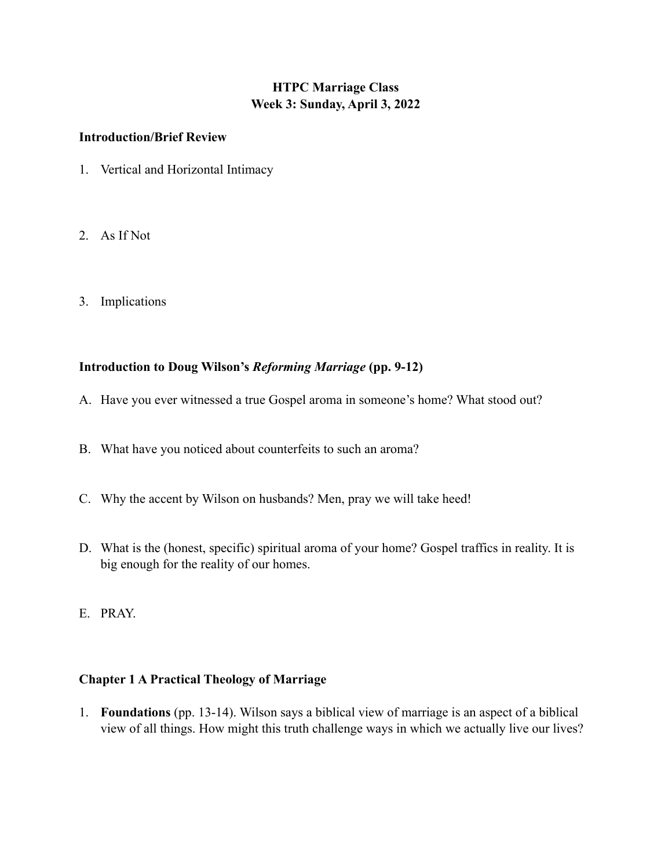## **HTPC Marriage Class Week 3: Sunday, April 3, 2022**

## **Introduction/Brief Review**

- 1. Vertical and Horizontal Intimacy
- 2. As If Not
- 3. Implications

## **Introduction to Doug Wilson's** *Reforming Marriage* **(pp. 9-12)**

- A. Have you ever witnessed a true Gospel aroma in someone's home? What stood out?
- B. What have you noticed about counterfeits to such an aroma?
- C. Why the accent by Wilson on husbands? Men, pray we will take heed!
- D. What is the (honest, specific) spiritual aroma of your home? Gospel traffics in reality. It is big enough for the reality of our homes.
- E. PRAY.

## **Chapter 1 A Practical Theology of Marriage**

1. **Foundations** (pp. 13-14). Wilson says a biblical view of marriage is an aspect of a biblical view of all things. How might this truth challenge ways in which we actually live our lives?